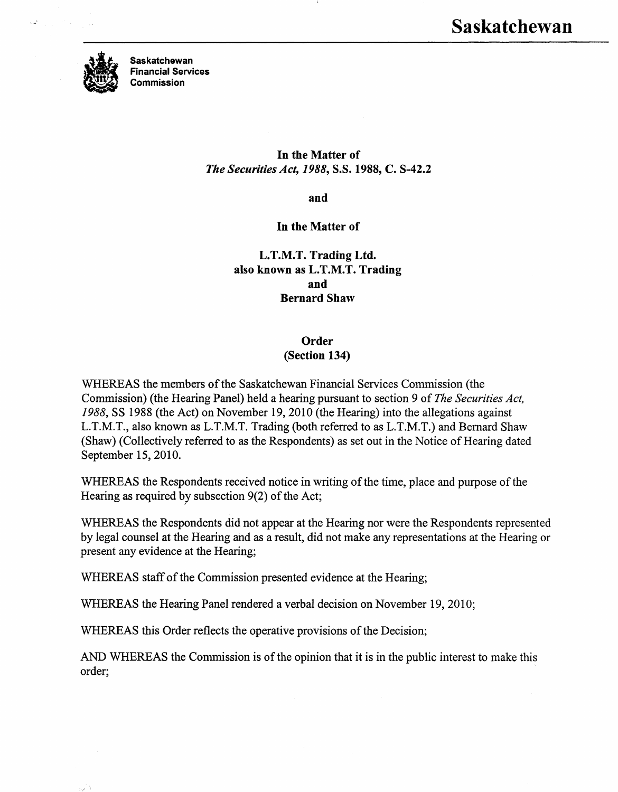

 $\kappa_{\rm c}$ 

**Saskatchewan Financial Services Commission**

## **In the Matter of** *The Securities Act, 1988,* S.S. **1988, C.** S-42.2

**and**

**In the Matter of**

**L.T.M.T. Trading Ltd. also known as L.T.M.T. Trading and Bernard Shaw**

> **Order (Section 134)**

WHEREAS the members of the Saskatchewan Financial Services Commission (the Commission) (the Hearing Panel) held a hearing pursuant to section 9 of *The Securities Act, 1988,* SS 1988 (the Act) on November 19, 2010 (the Hearing) into the allegations against L.T.M.T., also known as L.T.M.T. Trading (both referred to as L.T.M.T.) and Bernard Shaw (Shaw) (Collectively referred to as the Respondents) as set out in the Notice of Hearing dated September 15, 2010.

WHEREAS the Respondents received notice in writing of the time, place and purpose of the Hearing as required by subsection 9(2) of the Act;

WHEREAS the Respondents did not appear at the Hearing nor were the Respondents represented by legal counsel at the Hearing and as a result, did not make any representations at the Hearing or present any evidence at the Hearing;

WHEREAS staff of the Commission presented evidence at the Hearing;

WHEREAS the Hearing Panel rendered a verbal decision on November 19, 2010;

WHEREAS this Order reflects the operative provisions of the Decision;

AND WHEREAS the Commission is of the opinion that it is in the public interest to make this order;